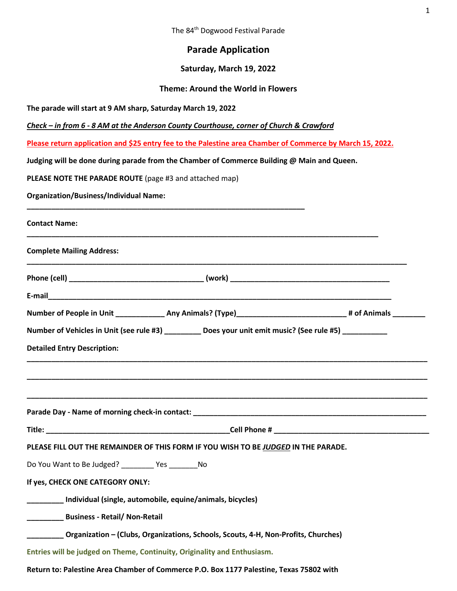# **Parade Application**

# **Saturday, March 19, 2022**

# **Theme: Around the World in Flowers**

**The parade will start at 9 AM sharp, Saturday March 19, 2022**

*Check – in from 6 - 8 AM at the Anderson County Courthouse, corner of Church & Crawford*

**Please return application and \$25 entry fee to the Palestine area Chamber of Commerce by March 15, 2022.**

**Judging will be done during parade from the Chamber of Commerce Building @ Main and Queen.**

**PLEASE NOTE THE PARADE ROUTE** (page #3 and attached map)

**Organization/Business/Individual Name:** 

| <b>Contact Name:</b>                                                                                             |  |
|------------------------------------------------------------------------------------------------------------------|--|
| <b>Complete Mailing Address:</b>                                                                                 |  |
|                                                                                                                  |  |
|                                                                                                                  |  |
| Number of People in Unit _______________ Any Animals? (Type)________________________________# of Animals _______ |  |
| Number of Vehicles in Unit (see rule #3) Does your unit emit music? (See rule #5)                                |  |
| <b>Detailed Entry Description:</b>                                                                               |  |
|                                                                                                                  |  |
|                                                                                                                  |  |
|                                                                                                                  |  |
|                                                                                                                  |  |
| PLEASE FILL OUT THE REMAINDER OF THIS FORM IF YOU WISH TO BE JUDGED IN THE PARADE.                               |  |
| Do You Want to Be Judged? ________ Yes ________ No                                                               |  |
| If yes, CHECK ONE CATEGORY ONLY:                                                                                 |  |
| _________ Individual (single, automobile, equine/animals, bicycles)                                              |  |
| <b>Example 1 Business - Retail/ Non-Retail</b>                                                                   |  |
| Organization - (Clubs, Organizations, Schools, Scouts, 4-H, Non-Profits, Churches)                               |  |
| Entries will be judged on Theme, Continuity, Originality and Enthusiasm.                                         |  |
|                                                                                                                  |  |

**Return to: Palestine Area Chamber of Commerce P.O. Box 1177 Palestine, Texas 75802 with**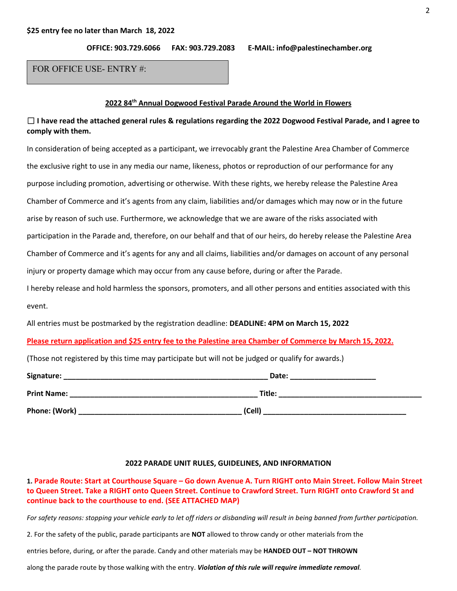**OFFICE: 903.729.6066 FAX: 903.729.2083 E-MAIL: info@palestinechamber.org**

FOR OFFICE USE- ENTRY #:

### **2022 84th Annual Dogwood Festival Parade Around the World in Flowers**

# □ **I have read the attached general rules & regulations regarding the 2022 Dogwood Festival Parade, and I agree to comply with them.**

In consideration of being accepted as a participant, we irrevocably grant the Palestine Area Chamber of Commerce the exclusive right to use in any media our name, likeness, photos or reproduction of our performance for any purpose including promotion, advertising or otherwise. With these rights, we hereby release the Palestine Area Chamber of Commerce and it's agents from any claim, liabilities and/or damages which may now or in the future arise by reason of such use. Furthermore, we acknowledge that we are aware of the risks associated with participation in the Parade and, therefore, on our behalf and that of our heirs, do hereby release the Palestine Area Chamber of Commerce and it's agents for any and all claims, liabilities and/or damages on account of any personal injury or property damage which may occur from any cause before, during or after the Parade. I hereby release and hold harmless the sponsors, promoters, and all other persons and entities associated with this

event.

All entries must be postmarked by the registration deadline: **DEADLINE: 4PM on March 15, 2022**

**Please return application and \$25 entry fee to the Palestine area Chamber of Commerce by March 15, 2022.**

(Those not registered by this time may participate but will not be judged or qualify for awards.)

| Signature:         | Date:  |  |
|--------------------|--------|--|
| <b>Print Name:</b> | Title: |  |
| Phone: (Work)      | (Cell) |  |

# **2022 PARADE UNIT RULES, GUIDELINES, AND INFORMATION**

**1. Parade Route: Start at Courthouse Square – Go down Avenue A. Turn RIGHT onto Main Street. Follow Main Street to Queen Street. Take a RIGHT onto Queen Street. Continue to Crawford Street. Turn RIGHT onto Crawford St and continue back to the courthouse to end. (SEE ATTACHED MAP)**

For safety reasons: stopping your vehicle early to let off riders or disbanding will result in being banned from further participation.

2. For the safety of the public, parade participants are **NOT** allowed to throw candy or other materials from the

entries before, during, or after the parade. Candy and other materials may be **HANDED OUT – NOT THROWN**

along the parade route by those walking with the entry. *Violation of this rule will require immediate removal.*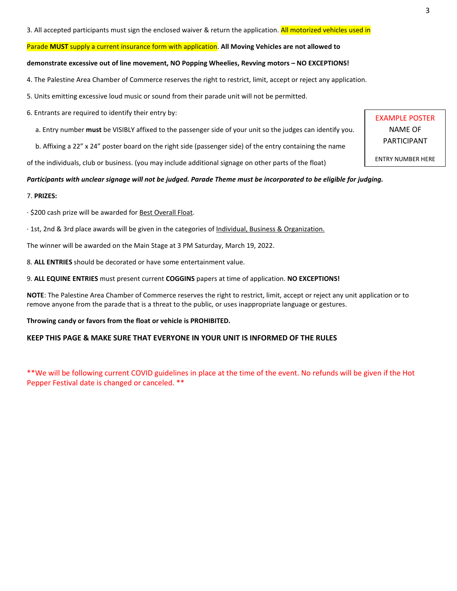3. All accepted participants must sign the enclosed waiver & return the application. All motorized vehicles used in

#### Parade **MUST** supply a current insurance form with application. **All Moving Vehicles are not allowed to**

#### **demonstrate excessive out of line movement, NO Popping Wheelies, Revving motors – NO EXCEPTIONS!**

- 4. The Palestine Area Chamber of Commerce reserves the right to restrict, limit, accept or reject any application.
- 5. Units emitting excessive loud music or sound from their parade unit will not be permitted.
- 6. Entrants are required to identify their entry by:
	- a. Entry number **must** be VISIBLY affixed to the passenger side of your unit so the judges can identify you.
	- b. Affixing a 22" x 24" poster board on the right side (passenger side) of the entry containing the name

of the individuals, club or business. (you may include additional signage on other parts of the float)

#### *Participants with unclear signage will not be judged. Parade Theme must be incorporated to be eligible for judging.*

#### 7. **PRIZES:**

· \$200 cash prize will be awarded for Best Overall Float.

· 1st, 2nd & 3rd place awards will be given in the categories of Individual, Business & Organization.

The winner will be awarded on the Main Stage at 3 PM Saturday, March 19, 2022.

- 8. **ALL ENTRIES** should be decorated or have some entertainment value.
- 9. **ALL EQUINE ENTRIES** must present current **COGGINS** papers at time of application. **NO EXCEPTIONS!**

**NOTE**: The Palestine Area Chamber of Commerce reserves the right to restrict, limit, accept or reject any unit application or to remove anyone from the parade that is a threat to the public, or uses inappropriate language or gestures.

#### **Throwing candy or favors from the float or vehicle is PROHIBITED.**

# **KEEP THIS PAGE & MAKE SURE THAT EVERYONE IN YOUR UNIT IS INFORMED OF THE RULES**

\*\*We will be following current COVID guidelines in place at the time of the event. No refunds will be given if the Hot Pepper Festival date is changed or canceled. \*\*

EXAMPLE POSTER NAME OF PARTICIPANT

ENTRY NUMBER HERE